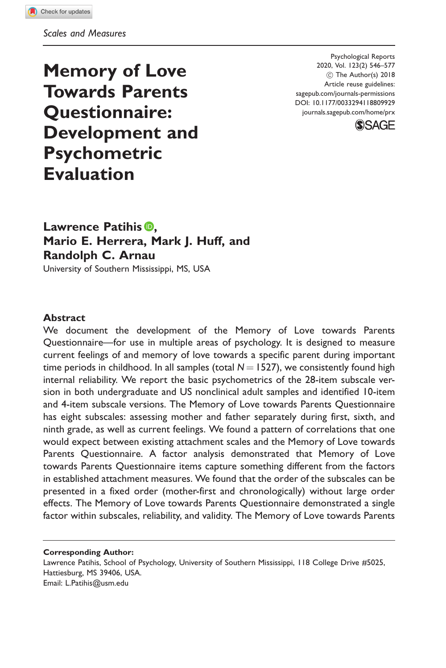Scales and Measures

Memory of Love Towards Parents Questionnaire: Development and Psychometric Evaluation

Psychological Reports 2020, Vol. 123(2) 546–577  $\circ$  The Author(s) 2018 Article reuse guidelines: [sagepub.com/journals-permissions](http://us.sagepub.com/en-us/journals-permissions) [DOI: 10.1177/0033294118809929](http://dx.doi.org/10.1177/0033294118809929) <journals.sagepub.com/home/prx>



Lawrence Patihis **D**. Mario E. Herrera, Mark J. Huff, and Randolph C. Arnau University of Southern Mississippi, MS, USA

#### **Abstract**

We document the development of the Memory of Love towards Parents Questionnaire—for use in multiple areas of psychology. It is designed to measure current feelings of and memory of love towards a specific parent during important time periods in childhood. In all samples (total  $N = 1527$ ), we consistently found high internal reliability. We report the basic psychometrics of the 28-item subscale version in both undergraduate and US nonclinical adult samples and identified 10-item and 4-item subscale versions. The Memory of Love towards Parents Questionnaire has eight subscales: assessing mother and father separately during first, sixth, and ninth grade, as well as current feelings. We found a pattern of correlations that one would expect between existing attachment scales and the Memory of Love towards Parents Questionnaire. A factor analysis demonstrated that Memory of Love towards Parents Questionnaire items capture something different from the factors in established attachment measures. We found that the order of the subscales can be presented in a fixed order (mother-first and chronologically) without large order effects. The Memory of Love towards Parents Questionnaire demonstrated a single factor within subscales, reliability, and validity. The Memory of Love towards Parents

Corresponding Author:

Lawrence Patihis, School of Psychology, University of Southern Mississippi, 118 College Drive #5025, Hattiesburg, MS 39406, USA. Email: [L.Patihis@usm.edu](mailto:L.Patihis@usm.edu)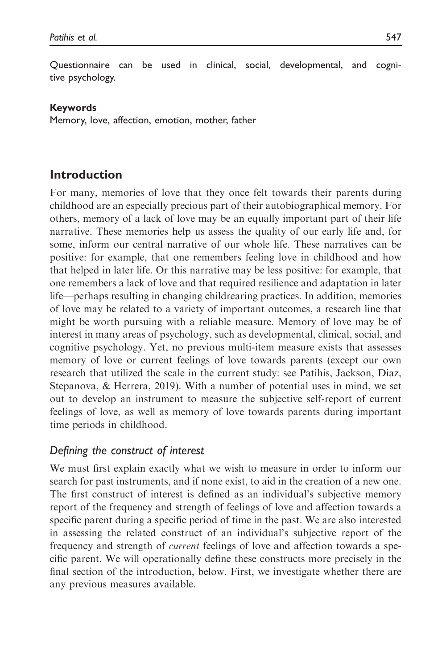Questionnaire can be used in clinical, social, developmental, and cognitive psychology.

### Keywords

Memory, love, affection, emotion, mother, father

## Introduction

For many, memories of love that they once felt towards their parents during childhood are an especially precious part of their autobiographical memory. For others, memory of a lack of love may be an equally important part of their life narrative. These memories help us assess the quality of our early life and, for some, inform our central narrative of our whole life. These narratives can be positive: for example, that one remembers feeling love in childhood and how that helped in later life. Or this narrative may be less positive: for example, that one remembers a lack of love and that required resilience and adaptation in later life—perhaps resulting in changing childrearing practices. In addition, memories of love may be related to a variety of important outcomes, a research line that might be worth pursuing with a reliable measure. Memory of love may be of interest in many areas of psychology, such as developmental, clinical, social, and cognitive psychology. Yet, no previous multi-item measure exists that assesses memory of love or current feelings of love towards parents (except our own research that utilized the scale in the current study: see Patihis, Jackson, Diaz, Stepanova, & Herrera, 2019). With a number of potential uses in mind, we set out to develop an instrument to measure the subjective self-report of current feelings of love, as well as memory of love towards parents during important time periods in childhood.

## Defining the construct of interest

We must first explain exactly what we wish to measure in order to inform our search for past instruments, and if none exist, to aid in the creation of a new one. The first construct of interest is defined as an individual's subjective memory report of the frequency and strength of feelings of love and affection towards a specific parent during a specific period of time in the past. We are also interested in assessing the related construct of an individual's subjective report of the frequency and strength of current feelings of love and affection towards a specific parent. We will operationally define these constructs more precisely in the final section of the introduction, below. First, we investigate whether there are any previous measures available.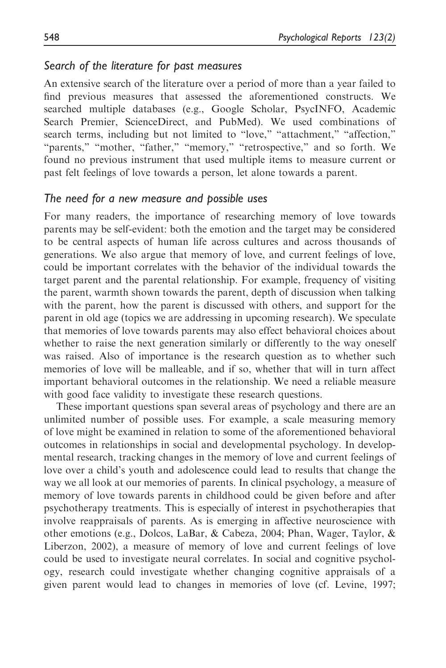## Search of the literature for past measures

An extensive search of the literature over a period of more than a year failed to find previous measures that assessed the aforementioned constructs. We searched multiple databases (e.g., Google Scholar, PsycINFO, Academic Search Premier, ScienceDirect, and PubMed). We used combinations of search terms, including but not limited to "love," "attachment," "affection," "parents," "mother, "father," "memory," "retrospective," and so forth. We found no previous instrument that used multiple items to measure current or past felt feelings of love towards a person, let alone towards a parent.

### The need for a new measure and possible uses

For many readers, the importance of researching memory of love towards parents may be self-evident: both the emotion and the target may be considered to be central aspects of human life across cultures and across thousands of generations. We also argue that memory of love, and current feelings of love, could be important correlates with the behavior of the individual towards the target parent and the parental relationship. For example, frequency of visiting the parent, warmth shown towards the parent, depth of discussion when talking with the parent, how the parent is discussed with others, and support for the parent in old age (topics we are addressing in upcoming research). We speculate that memories of love towards parents may also effect behavioral choices about whether to raise the next generation similarly or differently to the way oneself was raised. Also of importance is the research question as to whether such memories of love will be malleable, and if so, whether that will in turn affect important behavioral outcomes in the relationship. We need a reliable measure with good face validity to investigate these research questions.

These important questions span several areas of psychology and there are an unlimited number of possible uses. For example, a scale measuring memory of love might be examined in relation to some of the aforementioned behavioral outcomes in relationships in social and developmental psychology. In developmental research, tracking changes in the memory of love and current feelings of love over a child's youth and adolescence could lead to results that change the way we all look at our memories of parents. In clinical psychology, a measure of memory of love towards parents in childhood could be given before and after psychotherapy treatments. This is especially of interest in psychotherapies that involve reappraisals of parents. As is emerging in affective neuroscience with other emotions (e.g., Dolcos, LaBar, & Cabeza, 2004; Phan, Wager, Taylor, & Liberzon, 2002), a measure of memory of love and current feelings of love could be used to investigate neural correlates. In social and cognitive psychology, research could investigate whether changing cognitive appraisals of a given parent would lead to changes in memories of love (cf. Levine, 1997;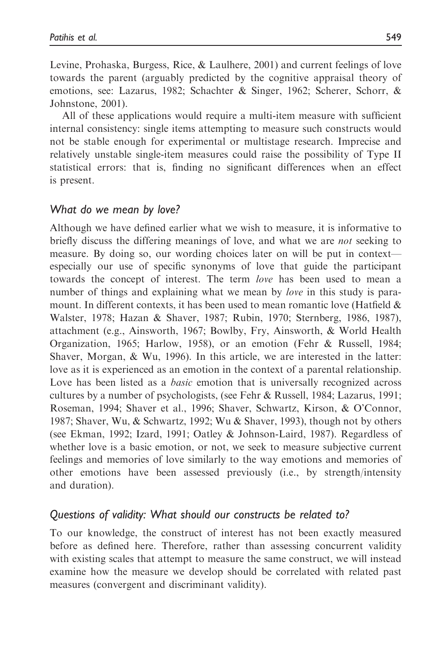Levine, Prohaska, Burgess, Rice, & Laulhere, 2001) and current feelings of love towards the parent (arguably predicted by the cognitive appraisal theory of emotions, see: Lazarus, 1982; Schachter & Singer, 1962; Scherer, Schorr, & Johnstone, 2001).

All of these applications would require a multi-item measure with sufficient internal consistency: single items attempting to measure such constructs would not be stable enough for experimental or multistage research. Imprecise and relatively unstable single-item measures could raise the possibility of Type II statistical errors: that is, finding no significant differences when an effect is present.

## What do we mean by love?

Although we have defined earlier what we wish to measure, it is informative to briefly discuss the differing meanings of love, and what we are not seeking to measure. By doing so, our wording choices later on will be put in context especially our use of specific synonyms of love that guide the participant towards the concept of interest. The term love has been used to mean a number of things and explaining what we mean by *love* in this study is paramount. In different contexts, it has been used to mean romantic love (Hatfield & Walster, 1978; Hazan & Shaver, 1987; Rubin, 1970; Sternberg, 1986, 1987), attachment (e.g., Ainsworth, 1967; Bowlby, Fry, Ainsworth, & World Health Organization, 1965; Harlow, 1958), or an emotion (Fehr & Russell, 1984; Shaver, Morgan, & Wu, 1996). In this article, we are interested in the latter: love as it is experienced as an emotion in the context of a parental relationship. Love has been listed as a *basic* emotion that is universally recognized across cultures by a number of psychologists, (see Fehr & Russell, 1984; Lazarus, 1991; Roseman, 1994; Shaver et al., 1996; Shaver, Schwartz, Kirson, & O'Connor, 1987; Shaver, Wu, & Schwartz, 1992; Wu & Shaver, 1993), though not by others (see Ekman, 1992; Izard, 1991; Oatley & Johnson-Laird, 1987). Regardless of whether love is a basic emotion, or not, we seek to measure subjective current feelings and memories of love similarly to the way emotions and memories of other emotions have been assessed previously (i.e., by strength/intensity and duration).

## Questions of validity: What should our constructs be related to?

To our knowledge, the construct of interest has not been exactly measured before as defined here. Therefore, rather than assessing concurrent validity with existing scales that attempt to measure the same construct, we will instead examine how the measure we develop should be correlated with related past measures (convergent and discriminant validity).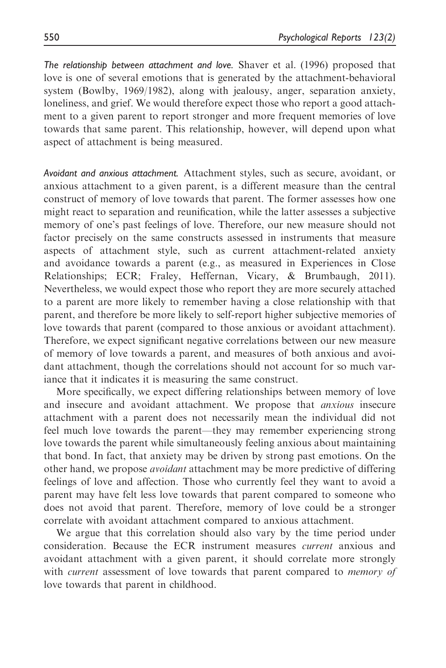The relationship between attachment and love. Shaver et al. (1996) proposed that love is one of several emotions that is generated by the attachment-behavioral system (Bowlby, 1969/1982), along with jealousy, anger, separation anxiety, loneliness, and grief. We would therefore expect those who report a good attachment to a given parent to report stronger and more frequent memories of love towards that same parent. This relationship, however, will depend upon what aspect of attachment is being measured.

Avoidant and anxious attachment. Attachment styles, such as secure, avoidant, or anxious attachment to a given parent, is a different measure than the central construct of memory of love towards that parent. The former assesses how one might react to separation and reunification, while the latter assesses a subjective memory of one's past feelings of love. Therefore, our new measure should not factor precisely on the same constructs assessed in instruments that measure aspects of attachment style, such as current attachment-related anxiety and avoidance towards a parent (e.g., as measured in Experiences in Close Relationships; ECR; Fraley, Heffernan, Vicary, & Brumbaugh, 2011). Nevertheless, we would expect those who report they are more securely attached to a parent are more likely to remember having a close relationship with that parent, and therefore be more likely to self-report higher subjective memories of love towards that parent (compared to those anxious or avoidant attachment). Therefore, we expect significant negative correlations between our new measure of memory of love towards a parent, and measures of both anxious and avoidant attachment, though the correlations should not account for so much variance that it indicates it is measuring the same construct.

More specifically, we expect differing relationships between memory of love and insecure and avoidant attachment. We propose that anxious insecure attachment with a parent does not necessarily mean the individual did not feel much love towards the parent—they may remember experiencing strong love towards the parent while simultaneously feeling anxious about maintaining that bond. In fact, that anxiety may be driven by strong past emotions. On the other hand, we propose *avoidant* attachment may be more predictive of differing feelings of love and affection. Those who currently feel they want to avoid a parent may have felt less love towards that parent compared to someone who does not avoid that parent. Therefore, memory of love could be a stronger correlate with avoidant attachment compared to anxious attachment.

We argue that this correlation should also vary by the time period under consideration. Because the ECR instrument measures current anxious and avoidant attachment with a given parent, it should correlate more strongly with *current* assessment of love towards that parent compared to *memory of* love towards that parent in childhood.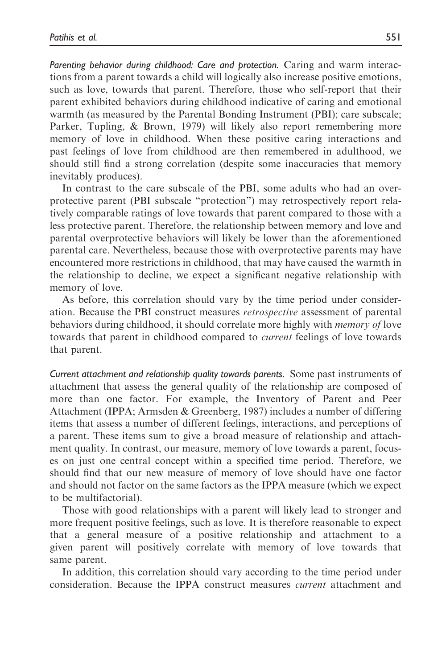Parenting behavior during childhood: Care and protection. Caring and warm interactions from a parent towards a child will logically also increase positive emotions, such as love, towards that parent. Therefore, those who self-report that their parent exhibited behaviors during childhood indicative of caring and emotional warmth (as measured by the Parental Bonding Instrument (PBI); care subscale; Parker, Tupling, & Brown, 1979) will likely also report remembering more memory of love in childhood. When these positive caring interactions and past feelings of love from childhood are then remembered in adulthood, we should still find a strong correlation (despite some inaccuracies that memory inevitably produces).

In contrast to the care subscale of the PBI, some adults who had an overprotective parent (PBI subscale "protection") may retrospectively report relatively comparable ratings of love towards that parent compared to those with a less protective parent. Therefore, the relationship between memory and love and parental overprotective behaviors will likely be lower than the aforementioned parental care. Nevertheless, because those with overprotective parents may have encountered more restrictions in childhood, that may have caused the warmth in the relationship to decline, we expect a significant negative relationship with memory of love.

As before, this correlation should vary by the time period under consideration. Because the PBI construct measures retrospective assessment of parental behaviors during childhood, it should correlate more highly with memory of love towards that parent in childhood compared to current feelings of love towards that parent.

Current attachment and relationship quality towards parents. Some past instruments of attachment that assess the general quality of the relationship are composed of more than one factor. For example, the Inventory of Parent and Peer Attachment (IPPA; Armsden & Greenberg, 1987) includes a number of differing items that assess a number of different feelings, interactions, and perceptions of a parent. These items sum to give a broad measure of relationship and attachment quality. In contrast, our measure, memory of love towards a parent, focuses on just one central concept within a specified time period. Therefore, we should find that our new measure of memory of love should have one factor and should not factor on the same factors as the IPPA measure (which we expect to be multifactorial).

Those with good relationships with a parent will likely lead to stronger and more frequent positive feelings, such as love. It is therefore reasonable to expect that a general measure of a positive relationship and attachment to a given parent will positively correlate with memory of love towards that same parent.

In addition, this correlation should vary according to the time period under consideration. Because the IPPA construct measures current attachment and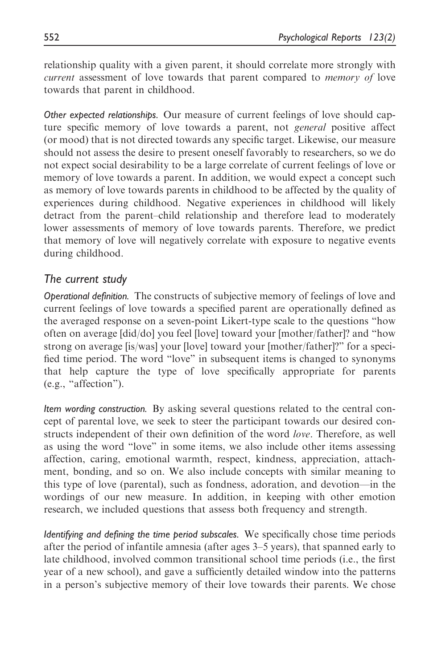relationship quality with a given parent, it should correlate more strongly with current assessment of love towards that parent compared to *memory of* love towards that parent in childhood.

Other expected relationships. Our measure of current feelings of love should capture specific memory of love towards a parent, not general positive affect (or mood) that is not directed towards any specific target. Likewise, our measure should not assess the desire to present oneself favorably to researchers, so we do not expect social desirability to be a large correlate of current feelings of love or memory of love towards a parent. In addition, we would expect a concept such as memory of love towards parents in childhood to be affected by the quality of experiences during childhood. Negative experiences in childhood will likely detract from the parent–child relationship and therefore lead to moderately lower assessments of memory of love towards parents. Therefore, we predict that memory of love will negatively correlate with exposure to negative events during childhood.

## The current study

Operational definition. The constructs of subjective memory of feelings of love and current feelings of love towards a specified parent are operationally defined as the averaged response on a seven-point Likert-type scale to the questions "how often on average [did/do] you feel [love] toward your [mother/father]? and "how strong on average [is/was] your [love] toward your [mother/father]?" for a specified time period. The word "love" in subsequent items is changed to synonyms that help capture the type of love specifically appropriate for parents (e.g., "affection").

Item wording construction. By asking several questions related to the central concept of parental love, we seek to steer the participant towards our desired constructs independent of their own definition of the word love. Therefore, as well as using the word "love" in some items, we also include other items assessing affection, caring, emotional warmth, respect, kindness, appreciation, attachment, bonding, and so on. We also include concepts with similar meaning to this type of love (parental), such as fondness, adoration, and devotion—in the wordings of our new measure. In addition, in keeping with other emotion research, we included questions that assess both frequency and strength.

Identifying and defining the time period subscales. We specifically chose time periods after the period of infantile amnesia (after ages 3–5 years), that spanned early to late childhood, involved common transitional school time periods (i.e., the first year of a new school), and gave a sufficiently detailed window into the patterns in a person's subjective memory of their love towards their parents. We chose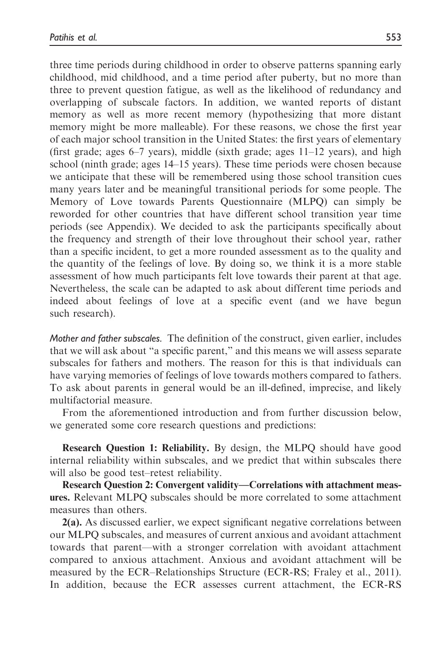three time periods during childhood in order to observe patterns spanning early childhood, mid childhood, and a time period after puberty, but no more than three to prevent question fatigue, as well as the likelihood of redundancy and overlapping of subscale factors. In addition, we wanted reports of distant memory as well as more recent memory (hypothesizing that more distant memory might be more malleable). For these reasons, we chose the first year of each major school transition in the United States: the first years of elementary (first grade; ages 6–7 years), middle (sixth grade; ages 11–12 years), and high school (ninth grade; ages 14–15 years). These time periods were chosen because we anticipate that these will be remembered using those school transition cues many years later and be meaningful transitional periods for some people. The Memory of Love towards Parents Questionnaire (MLPQ) can simply be reworded for other countries that have different school transition year time periods (see Appendix). We decided to ask the participants specifically about the frequency and strength of their love throughout their school year, rather than a specific incident, to get a more rounded assessment as to the quality and the quantity of the feelings of love. By doing so, we think it is a more stable assessment of how much participants felt love towards their parent at that age. Nevertheless, the scale can be adapted to ask about different time periods and indeed about feelings of love at a specific event (and we have begun such research).

Mother and father subscales. The definition of the construct, given earlier, includes that we will ask about "a specific parent," and this means we will assess separate subscales for fathers and mothers. The reason for this is that individuals can have varying memories of feelings of love towards mothers compared to fathers. To ask about parents in general would be an ill-defined, imprecise, and likely multifactorial measure.

From the aforementioned introduction and from further discussion below, we generated some core research questions and predictions:

Research Question 1: Reliability. By design, the MLPQ should have good internal reliability within subscales, and we predict that within subscales there will also be good test–retest reliability.

Research Question 2: Convergent validity—Correlations with attachment measures. Relevant MLPQ subscales should be more correlated to some attachment measures than others.

2(a). As discussed earlier, we expect significant negative correlations between our MLPQ subscales, and measures of current anxious and avoidant attachment towards that parent—with a stronger correlation with avoidant attachment compared to anxious attachment. Anxious and avoidant attachment will be measured by the ECR–Relationships Structure (ECR-RS; Fraley et al., 2011). In addition, because the ECR assesses current attachment, the ECR-RS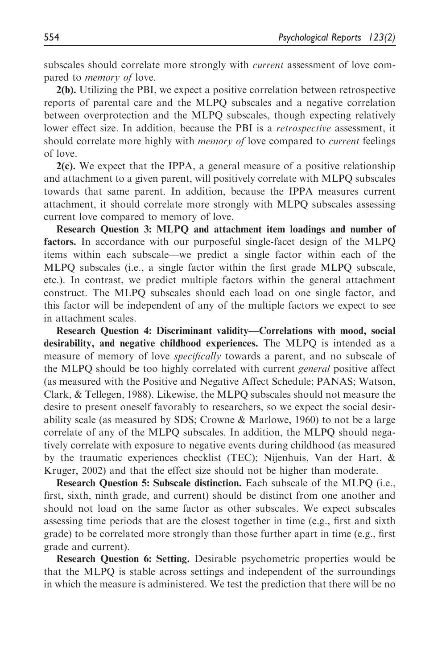subscales should correlate more strongly with *current* assessment of love compared to memory of love.

2(b). Utilizing the PBI, we expect a positive correlation between retrospective reports of parental care and the MLPQ subscales and a negative correlation between overprotection and the MLPQ subscales, though expecting relatively lower effect size. In addition, because the PBI is a *retrospective* assessment, it should correlate more highly with *memory of* love compared to *current* feelings of love.

2(c). We expect that the IPPA, a general measure of a positive relationship and attachment to a given parent, will positively correlate with MLPQ subscales towards that same parent. In addition, because the IPPA measures current attachment, it should correlate more strongly with MLPQ subscales assessing current love compared to memory of love.

Research Question 3: MLPQ and attachment item loadings and number of factors. In accordance with our purposeful single-facet design of the MLPQ items within each subscale—we predict a single factor within each of the MLPQ subscales (i.e., a single factor within the first grade MLPQ subscale, etc.). In contrast, we predict multiple factors within the general attachment construct. The MLPQ subscales should each load on one single factor, and this factor will be independent of any of the multiple factors we expect to see in attachment scales.

Research Question 4: Discriminant validity—Correlations with mood, social desirability, and negative childhood experiences. The MLPQ is intended as a measure of memory of love *specifically* towards a parent, and no subscale of the MLPQ should be too highly correlated with current general positive affect (as measured with the Positive and Negative Affect Schedule; PANAS; Watson, Clark, & Tellegen, 1988). Likewise, the MLPQ subscales should not measure the desire to present oneself favorably to researchers, so we expect the social desirability scale (as measured by SDS; Crowne & Marlowe, 1960) to not be a large correlate of any of the MLPQ subscales. In addition, the MLPQ should negatively correlate with exposure to negative events during childhood (as measured by the traumatic experiences checklist (TEC); Nijenhuis, Van der Hart, & Kruger, 2002) and that the effect size should not be higher than moderate.

Research Question 5: Subscale distinction. Each subscale of the MLPQ (i.e., first, sixth, ninth grade, and current) should be distinct from one another and should not load on the same factor as other subscales. We expect subscales assessing time periods that are the closest together in time (e.g., first and sixth grade) to be correlated more strongly than those further apart in time (e.g., first grade and current).

Research Question 6: Setting. Desirable psychometric properties would be that the MLPQ is stable across settings and independent of the surroundings in which the measure is administered. We test the prediction that there will be no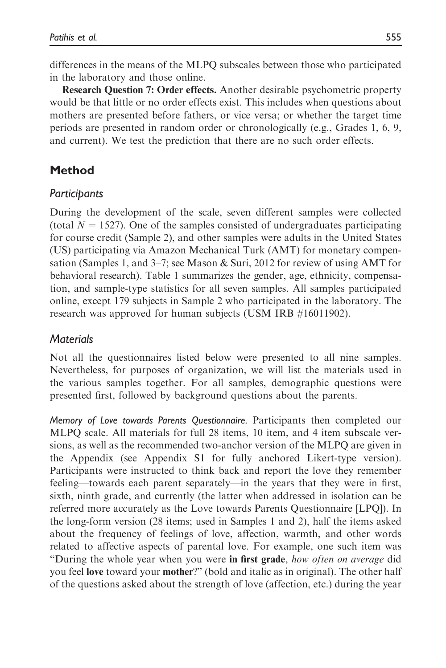differences in the means of the MLPQ subscales between those who participated in the laboratory and those online.

Research Question 7: Order effects. Another desirable psychometric property would be that little or no order effects exist. This includes when questions about mothers are presented before fathers, or vice versa; or whether the target time periods are presented in random order or chronologically (e.g., Grades 1, 6, 9, and current). We test the prediction that there are no such order effects.

# Method

## **Participants**

During the development of the scale, seven different samples were collected (total  $N = 1527$ ). One of the samples consisted of undergraduates participating for course credit (Sample 2), and other samples were adults in the United States (US) participating via Amazon Mechanical Turk (AMT) for monetary compensation (Samples 1, and 3–7; see Mason & Suri, 2012 for review of using AMT for behavioral research). Table 1 summarizes the gender, age, ethnicity, compensation, and sample-type statistics for all seven samples. All samples participated online, except 179 subjects in Sample 2 who participated in the laboratory. The research was approved for human subjects (USM IRB #16011902).

# Materials

Not all the questionnaires listed below were presented to all nine samples. Nevertheless, for purposes of organization, we will list the materials used in the various samples together. For all samples, demographic questions were presented first, followed by background questions about the parents.

Memory of Love towards Parents Questionnaire. Participants then completed our MLPQ scale. All materials for full 28 items, 10 item, and 4 item subscale versions, as well as the recommended two-anchor version of the MLPQ are given in the Appendix (see Appendix S1 for fully anchored Likert-type version). Participants were instructed to think back and report the love they remember feeling—towards each parent separately—in the years that they were in first, sixth, ninth grade, and currently (the latter when addressed in isolation can be referred more accurately as the Love towards Parents Questionnaire [LPQ]). In the long-form version (28 items; used in Samples 1 and 2), half the items asked about the frequency of feelings of love, affection, warmth, and other words related to affective aspects of parental love. For example, one such item was "During the whole year when you were **in first grade**, how often on average did you feel love toward your mother?" (bold and italic as in original). The other half of the questions asked about the strength of love (affection, etc.) during the year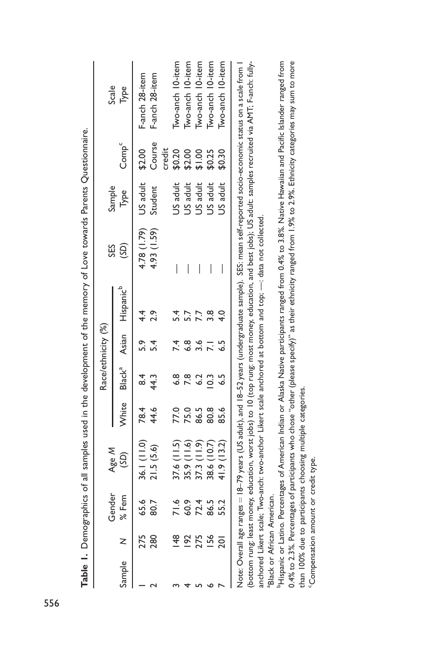|        |                | Gender             |                                                                         |                                         |               | Race/ethnicity (%) |                                                |                              |                |                   |                  |
|--------|----------------|--------------------|-------------------------------------------------------------------------|-----------------------------------------|---------------|--------------------|------------------------------------------------|------------------------------|----------------|-------------------|------------------|
| Sample | z              | $%$ Fem            | $A$ ge M<br>(SD)                                                        | White                                   |               |                    | Black <sup>a</sup> Asian Hispanic <sup>b</sup> | <b>GS</b>                    | Sample<br>Type | Comp <sup>c</sup> | Scale<br>Type    |
|        |                |                    |                                                                         |                                         |               | 5.9                |                                                |                              | US adult       |                   | F-anch 28-item   |
|        | 275<br>280     | 65.6<br>80.7       | 36.1 (11.0)<br>21.5 (5.6)                                               | 78.4<br>44.6                            | $rac{4}{6}$   | $5\overline{4}$    | $4.9$<br>$2.9$                                 | $4.78$ (1.79)<br>4.93 (1.59) | Student        | $$2.00$<br>Course | F-anch 28-item   |
|        |                |                    |                                                                         |                                         |               |                    |                                                |                              |                | tredit            |                  |
|        | $\frac{48}{5}$ |                    |                                                                         |                                         | $\frac{8}{6}$ | 7.4                | 5.4                                            |                              | US adult       |                   | Two-anch 10-item |
|        | 92             |                    |                                                                         |                                         |               | $\frac{8}{6}$      |                                                |                              | JS adult       |                   | Iwo-anch 10-item |
| $\sim$ | 275            |                    |                                                                         |                                         | 6.2           | 3.6                | 77                                             |                              | JS adult       |                   | Two-anch 10-item |
|        | $156$<br>201   | 1697452<br>1697852 | 37.6 (11.5)<br>35.9 (11.6)<br>37.3 (11.9)<br>38.6 (10.7)<br>41.9 (13.2) | 0.0.4.8.9<br>7 7 8 8 8 9<br>7 7 8 8 9 9 | $10.3$<br>6.5 |                    | $\frac{8}{3}$                                  |                              | JS adult       |                   | Two-anch 10-item |
|        |                |                    |                                                                         |                                         |               | 6.5                | $\frac{6}{4}$                                  |                              | JS adult       |                   | Two-anch 10-item |

Table 1. Demographics of all samples used in the development of the memory of Love towards Parents Questionnaire. Table 1. Demographics of all samples used in the development of the memory of Love towards Parents Questionnaire. Note: Overall age ranges = 18–79 years (US adult), and 18–52 years (undergraduate sample). SES: mean self-reported socio-economic status on a scale from 1 (bottom rung: least money, education, worst jobs) to 10 (top rung: most money, education, and best jobs); US adult: samples recruited via AMT; F-anch: fully-(bottom rung: least money, education, worst jobs) to 10 (top rung: most money, education, and best jobs); US adult: samples recruited via AMT; F-anch: fully-Note: Overall age ranges = 18–79 years (US adult), and 18–52 years (undergraduate sample). SES: mean self-reported socio-economic status on a scale from 1 anchored Likert scale; Two-anch: two-anchor Likert scale anchored at bottom and top; --- data not collected. anchored Likert scale; Two-anch: two-anchor Likert scale anchored at bottom and top; —: data not collected.

Black or African American. aBlack or African American.

PHispanic or Latino. Percentages of American Indian or Alaska Native participants ranged from 0.4% to 3.8%. Native Hawaiian and Pacific Islander ranged from 0.4% to 2.3%. Percentages of participants who chose "other (please specify)" as their ethnicity ranged from 1.9% to 2.9%. Ethnicity categories may sum to more bHispanic or Latino. Percentages of American Indian or Alaska Native participants ranged from 0.4% to 3.8%. Native Hawaiian and Pacific Islander ranged from 0.4% to 2.3%. Percentages of participants who chose "other (please specify)" as their ethnicity ranged from 1.9% to 2.9%. Ethnicity categories may sum to more than 100% due to participants choosing multiple categories. than 100% due to participants choosing multiple categories.

'Compensation amount or credit type. cCompensation amount or credit type.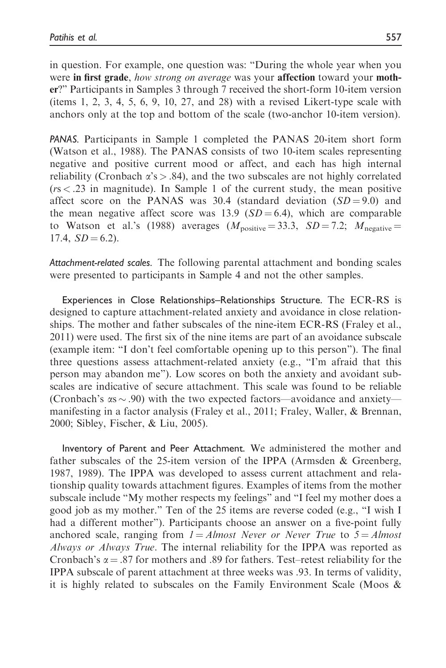in question. For example, one question was: "During the whole year when you were in first grade, how strong on average was your affection toward your mother?" Participants in Samples 3 through 7 received the short-form 10-item version (items  $1, 2, 3, 4, 5, 6, 9, 10, 27,$  and  $28$ ) with a revised Likert-type scale with anchors only at the top and bottom of the scale (two-anchor 10-item version).

PANAS. Participants in Sample 1 completed the PANAS 20-item short form (Watson et al., 1988). The PANAS consists of two 10-item scales representing negative and positive current mood or affect, and each has high internal reliability (Cronbach  $\alpha$ 's  $> 0.84$ ), and the two subscales are not highly correlated  $(rs < .23$  in magnitude). In Sample 1 of the current study, the mean positive affect score on the PANAS was 30.4 (standard deviation  $(SD = 9.0)$ ) and the mean negative affect score was 13.9 ( $SD = 6.4$ ), which are comparable to Watson et al.'s (1988) averages  $(M_{positive} = 33.3, SD = 7.2; M_{negative} =$ 17.4,  $SD = 6.2$ ).

Attachment-related scales. The following parental attachment and bonding scales were presented to participants in Sample 4 and not the other samples.

Experiences in Close Relationships–Relationships Structure. The ECR-RS is designed to capture attachment-related anxiety and avoidance in close relationships. The mother and father subscales of the nine-item ECR-RS (Fraley et al., 2011) were used. The first six of the nine items are part of an avoidance subscale (example item: "I don't feel comfortable opening up to this person"). The final three questions assess attachment-related anxiety (e.g., "I'm afraid that this person may abandon me"). Low scores on both the anxiety and avoidant subscales are indicative of secure attachment. This scale was found to be reliable (Cronbach's  $\alpha$ s  $\sim$  .90) with the two expected factors—avoidance and anxiety manifesting in a factor analysis (Fraley et al., 2011; Fraley, Waller, & Brennan, 2000; Sibley, Fischer, & Liu, 2005).

Inventory of Parent and Peer Attachment. We administered the mother and father subscales of the 25-item version of the IPPA (Armsden & Greenberg, 1987, 1989). The IPPA was developed to assess current attachment and relationship quality towards attachment figures. Examples of items from the mother subscale include "My mother respects my feelings" and "I feel my mother does a good job as my mother." Ten of the 25 items are reverse coded (e.g., "I wish I had a different mother"). Participants choose an answer on a five-point fully anchored scale, ranging from  $1 =$  Almost Never or Never True to  $5 =$  Almost Always or Always True. The internal reliability for the IPPA was reported as Cronbach's  $\alpha = .87$  for mothers and .89 for fathers. Test–retest reliability for the IPPA subscale of parent attachment at three weeks was .93. In terms of validity, it is highly related to subscales on the Family Environment Scale (Moos &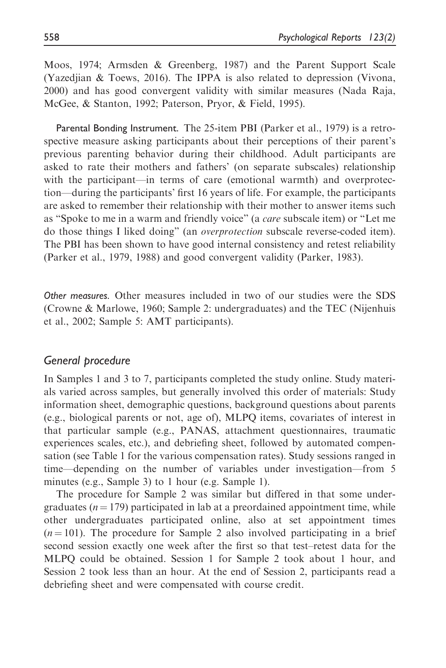Moos, 1974; Armsden & Greenberg, 1987) and the Parent Support Scale (Yazedjian & Toews, 2016). The IPPA is also related to depression (Vivona, 2000) and has good convergent validity with similar measures (Nada Raja, McGee, & Stanton, 1992; Paterson, Pryor, & Field, 1995).

Parental Bonding Instrument. The 25-item PBI (Parker et al., 1979) is a retrospective measure asking participants about their perceptions of their parent's previous parenting behavior during their childhood. Adult participants are asked to rate their mothers and fathers' (on separate subscales) relationship with the participant—in terms of care (emotional warmth) and overprotection—during the participants' first 16 years of life. For example, the participants are asked to remember their relationship with their mother to answer items such as "Spoke to me in a warm and friendly voice" (a care subscale item) or "Let me do those things I liked doing" (an overprotection subscale reverse-coded item). The PBI has been shown to have good internal consistency and retest reliability (Parker et al., 1979, 1988) and good convergent validity (Parker, 1983).

Other measures. Other measures included in two of our studies were the SDS (Crowne & Marlowe, 1960; Sample 2: undergraduates) and the TEC (Nijenhuis et al., 2002; Sample 5: AMT participants).

### General procedure

In Samples 1 and 3 to 7, participants completed the study online. Study materials varied across samples, but generally involved this order of materials: Study information sheet, demographic questions, background questions about parents (e.g., biological parents or not, age of), MLPQ items, covariates of interest in that particular sample (e.g., PANAS, attachment questionnaires, traumatic experiences scales, etc.), and debriefing sheet, followed by automated compensation (see Table 1 for the various compensation rates). Study sessions ranged in time—depending on the number of variables under investigation—from 5 minutes (e.g., Sample 3) to 1 hour (e.g. Sample 1).

The procedure for Sample 2 was similar but differed in that some undergraduates ( $n = 179$ ) participated in lab at a preordained appointment time, while other undergraduates participated online, also at set appointment times  $(n = 101)$ . The procedure for Sample 2 also involved participating in a brief second session exactly one week after the first so that test–retest data for the MLPQ could be obtained. Session 1 for Sample 2 took about 1 hour, and Session 2 took less than an hour. At the end of Session 2, participants read a debriefing sheet and were compensated with course credit.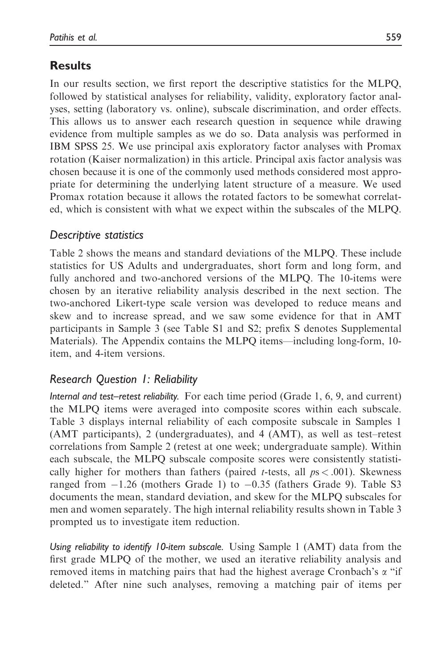# **Results**

In our results section, we first report the descriptive statistics for the MLPQ, followed by statistical analyses for reliability, validity, exploratory factor analyses, setting (laboratory vs. online), subscale discrimination, and order effects. This allows us to answer each research question in sequence while drawing evidence from multiple samples as we do so. Data analysis was performed in IBM SPSS 25. We use principal axis exploratory factor analyses with Promax rotation (Kaiser normalization) in this article. Principal axis factor analysis was chosen because it is one of the commonly used methods considered most appropriate for determining the underlying latent structure of a measure. We used Promax rotation because it allows the rotated factors to be somewhat correlated, which is consistent with what we expect within the subscales of the MLPQ.

## Descriptive statistics

Table 2 shows the means and standard deviations of the MLPQ. These include statistics for US Adults and undergraduates, short form and long form, and fully anchored and two-anchored versions of the MLPQ. The 10-items were chosen by an iterative reliability analysis described in the next section. The two-anchored Likert-type scale version was developed to reduce means and skew and to increase spread, and we saw some evidence for that in AMT participants in Sample 3 (see Table S1 and S2; prefix S denotes Supplemental Materials). The Appendix contains the MLPQ items—including long-form, 10 item, and 4-item versions.

# Research Question 1: Reliability

Internal and test–retest reliability. For each time period (Grade 1, 6, 9, and current) the MLPQ items were averaged into composite scores within each subscale. Table 3 displays internal reliability of each composite subscale in Samples 1 (AMT participants), 2 (undergraduates), and 4 (AMT), as well as test–retest correlations from Sample 2 (retest at one week; undergraduate sample). Within each subscale, the MLPQ subscale composite scores were consistently statistically higher for mothers than fathers (paired *t*-tests, all  $ps < .001$ ). Skewness ranged from  $-1.26$  (mothers Grade 1) to  $-0.35$  (fathers Grade 9). Table S3 documents the mean, standard deviation, and skew for the MLPQ subscales for men and women separately. The high internal reliability results shown in Table 3 prompted us to investigate item reduction.

Using reliability to identify 10-item subscale. Using Sample 1 (AMT) data from the first grade MLPQ of the mother, we used an iterative reliability analysis and removed items in matching pairs that had the highest average Cronbach's a "if deleted." After nine such analyses, removing a matching pair of items per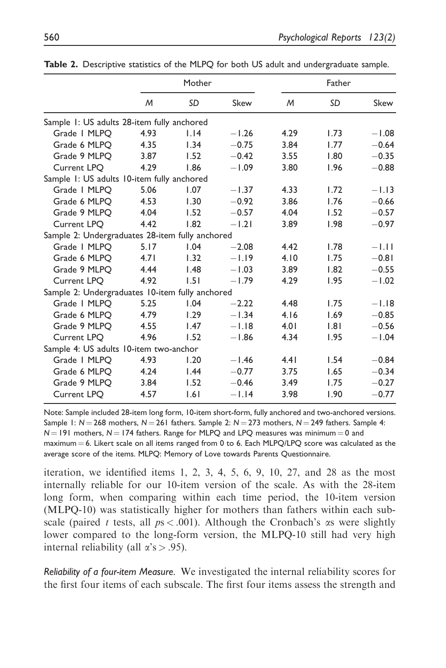|                                                 |      | Mother |         |      | Father |         |
|-------------------------------------------------|------|--------|---------|------|--------|---------|
|                                                 | M    | SD     | Skew    | M    | SD     | Skew    |
| Sample 1: US adults 28-item fully anchored      |      |        |         |      |        |         |
| Grade   MLPO                                    | 4.93 | 1.14   | $-1.26$ | 4.29 | 1.73   | $-1.08$ |
| Grade 6 MLPQ                                    | 4.35 | 1.34   | $-0.75$ | 3.84 | 1.77   | $-0.64$ |
| Grade 9 MLPO                                    | 3.87 | 1.52   | $-0.42$ | 3.55 | 1.80   | $-0.35$ |
| Current LPO                                     | 4.29 | 1.86   | $-1.09$ | 3.80 | 1.96   | $-0.88$ |
| Sample 1: US adults 10-item fully anchored      |      |        |         |      |        |         |
| Grade   MLPQ                                    | 5.06 | 1.07   | $-1.37$ | 4.33 | 1.72   | $-1.13$ |
| Grade 6 MLPO                                    | 4.53 | 1.30   | $-0.92$ | 3.86 | 1.76   | $-0.66$ |
| Grade 9 MLPO                                    | 4.04 | 1.52   | $-0.57$ | 4.04 | 1.52   | $-0.57$ |
| Current LPO                                     | 4.42 | 1.82   | $-1.21$ | 3.89 | 1.98   | $-0.97$ |
| Sample 2: Undergraduates 28-item fully anchored |      |        |         |      |        |         |
| Grade   MLPQ                                    | 5.17 | 1.04   | $-2.08$ | 4.42 | 1.78   | $-1.11$ |
| Grade 6 MLPO                                    | 4.71 | 1.32   | $-1.19$ | 4.10 | 1.75   | $-0.81$ |
| Grade 9 MLPO                                    | 4.44 | 1.48   | $-1.03$ | 3.89 | 1.82   | $-0.55$ |
| Current LPO                                     | 4.92 | 1.51   | $-1.79$ | 4.29 | 1.95   | $-1.02$ |
| Sample 2: Undergraduates 10-item fully anchored |      |        |         |      |        |         |
| Grade   MLPO                                    | 5.25 | 1.04   | $-2.22$ | 4.48 | 1.75   | $-1.18$ |
| Grade 6 MLPO                                    | 4.79 | 1.29   | $-1.34$ | 4.16 | 1.69   | $-0.85$ |
| Grade 9 MLPO                                    | 4.55 | 1.47   | $-1.18$ | 4.01 | 1.81   | $-0.56$ |
| Current LPO                                     | 4.96 | 1.52   | $-1.86$ | 4.34 | 1.95   | $-1.04$ |
| Sample 4: US adults 10-item two-anchor          |      |        |         |      |        |         |
| Grade   MLPO                                    | 4.93 | 1.20   | $-1.46$ | 4.41 | 1.54   | $-0.84$ |
| Grade 6 MLPO                                    | 4.24 | 1.44   | $-0.77$ | 3.75 | 1.65   | $-0.34$ |
| Grade 9 MLPO                                    | 3.84 | 1.52   | $-0.46$ | 3.49 | 1.75   | $-0.27$ |
| Current LPO                                     | 4.57 | 1.61   | $-1.14$ | 3.98 | 1.90   | $-0.77$ |

Table 2. Descriptive statistics of the MLPQ for both US adult and undergraduate sample.

Note: Sample included 28-item long form, 10-item short-form, fully anchored and two-anchored versions. Sample 1:  $N = 268$  mothers,  $N = 261$  fathers. Sample 2:  $N = 273$  mothers,  $N = 249$  fathers. Sample 4:  $N = 191$  mothers,  $N = 174$  fathers. Range for MLPQ and LPQ measures was minimum = 0 and maximum  $= 6$ . Likert scale on all items ranged from 0 to 6. Each MLPQ/LPQ score was calculated as the average score of the items. MLPQ: Memory of Love towards Parents Questionnaire.

iteration, we identified items 1, 2, 3, 4, 5, 6, 9, 10, 27, and 28 as the most internally reliable for our 10-item version of the scale. As with the 28-item long form, when comparing within each time period, the 10-item version (MLPQ-10) was statistically higher for mothers than fathers within each subscale (paired t tests, all  $ps < .001$ ). Although the Cronbach's  $\alpha s$  were slightly lower compared to the long-form version, the MLPQ-10 still had very high internal reliability (all  $\alpha$ 's > .95).

Reliability of a four-item Measure. We investigated the internal reliability scores for the first four items of each subscale. The first four items assess the strength and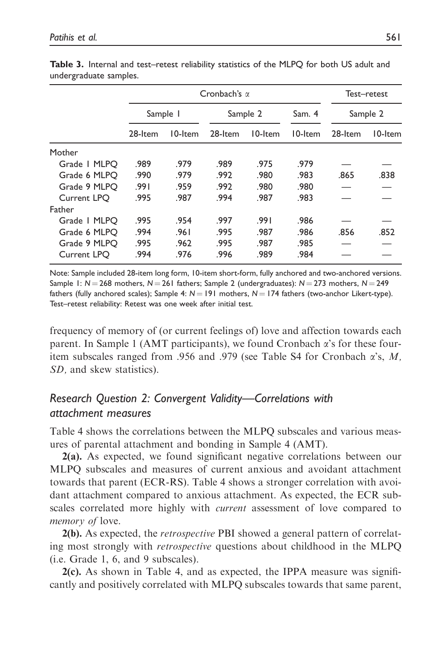|              |          |         | Cronbach's $\alpha$ |          |         |         | Test-retest |
|--------------|----------|---------|---------------------|----------|---------|---------|-------------|
|              | Sample 1 |         |                     | Sample 2 | Sam. 4  |         | Sample 2    |
|              | 28-Item  | 10-Item | 28-Item             | 10-Item  | 10-Item | 28-Item | 10-Item     |
| Mother       |          |         |                     |          |         |         |             |
| Grade   MLPO | .989     | .979    | .989                | .975     | .979    |         |             |
| Grade 6 MLPO | .990     | .979    | .992                | .980     | .983    | .865    | .838        |
| Grade 9 MLPO | .991     | .959    | .992                | .980     | .980    |         |             |
| Current LPO  | .995     | .987    | .994                | .987     | .983    |         |             |
| Father       |          |         |                     |          |         |         |             |
| Grade   MLPO | .995     | .954    | .997                | .991     | .986    |         |             |
| Grade 6 MLPO | .994     | .961    | .995                | .987     | .986    | .856    | .852        |
| Grade 9 MLPO | .995     | .962    | .995                | .987     | .985    |         |             |
| Current LPO  | .994     | .976    | .996                | .989     | .984    |         |             |

Table 3. Internal and test–retest reliability statistics of the MLPQ for both US adult and undergraduate samples.

Note: Sample included 28-item long form, 10-item short-form, fully anchored and two-anchored versions. Sample 1:  $N = 268$  mothers,  $N = 261$  fathers; Sample 2 (undergraduates):  $N = 273$  mothers,  $N = 249$ fathers (fully anchored scales); Sample 4:  $N = 191$  mothers,  $N = 174$  fathers (two-anchor Likert-type). Test–retest reliability: Retest was one week after initial test.

frequency of memory of (or current feelings of) love and affection towards each parent. In Sample 1 (AMT participants), we found Cronbach a's for these fouritem subscales ranged from .956 and .979 (see Table S4 for Cronbach a's, M, SD, and skew statistics).

# Research Question 2: Convergent Validity—Correlations with attachment measures

Table 4 shows the correlations between the MLPQ subscales and various measures of parental attachment and bonding in Sample 4 (AMT).

2(a). As expected, we found significant negative correlations between our MLPQ subscales and measures of current anxious and avoidant attachment towards that parent (ECR-RS). Table 4 shows a stronger correlation with avoidant attachment compared to anxious attachment. As expected, the ECR subscales correlated more highly with current assessment of love compared to memory of love.

2(b). As expected, the *retrospective* PBI showed a general pattern of correlating most strongly with retrospective questions about childhood in the MLPQ (i.e. Grade 1, 6, and 9 subscales).

2(c). As shown in Table 4, and as expected, the IPPA measure was significantly and positively correlated with MLPQ subscales towards that same parent,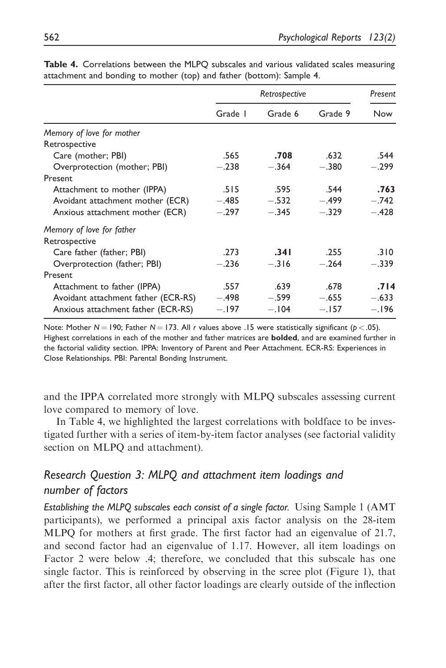|                                     |         | Retrospective |         | Present    |
|-------------------------------------|---------|---------------|---------|------------|
|                                     | Grade I | Grade 6       | Grade 9 | <b>Now</b> |
| Memory of love for mother           |         |               |         |            |
| Retrospective                       |         |               |         |            |
| Care (mother; PBI)                  | .565    | .708          | .632    | .544       |
| Overprotection (mother; PBI)        | $-.238$ | $-.364$       | $-.380$ | $-.299$    |
| Present                             |         |               |         |            |
| Attachment to mother (IPPA)         | .515    | .595          | .544    | .763       |
| Avoidant attachment mother (ECR)    | $-.485$ | $-.532$       | $-.499$ | $-.742$    |
| Anxious attachment mother (ECR)     | $-.297$ | $-.345$       | $-.329$ | $-.428$    |
| Memory of love for father           |         |               |         |            |
| Retrospective                       |         |               |         |            |
| Care father (father; PBI)           | .273    | .341          | .255    | .310       |
| Overprotection (father; PBI)        | $-.236$ | $-.316$       | $-.264$ | $-.339$    |
| Present                             |         |               |         |            |
| Attachment to father (IPPA)         | .557    | .639          | .678    | .714       |
| Avoidant attachment father (ECR-RS) | $-.498$ | $-.599$       | $-.655$ | $-.633$    |
| Anxious attachment father (ECR-RS)  | $-.197$ | $-.104$       | $-.157$ | $-.196$    |

Table 4. Correlations between the MLPQ subscales and various validated scales measuring attachment and bonding to mother (top) and father (bottom): Sample 4.

Note: Mother  $N = 190$ ; Father  $N = 173$ . All r values above .15 were statistically significant ( $p < .05$ ). Highest correlations in each of the mother and father matrices are bolded, and are examined further in the factorial validity section. IPPA: Inventory of Parent and Peer Attachment. ECR-RS: Experiences in Close Relationships. PBI: Parental Bonding Instrument.

and the IPPA correlated more strongly with MLPQ subscales assessing current love compared to memory of love.

In Table 4, we highlighted the largest correlations with boldface to be investigated further with a series of item-by-item factor analyses (see factorial validity section on MLPQ and attachment).

# Research Question 3: MLPQ and attachment item loadings and number of factors

Establishing the MLPQ subscales each consist of a single factor. Using Sample 1 (AMT participants), we performed a principal axis factor analysis on the 28-item MLPQ for mothers at first grade. The first factor had an eigenvalue of 21.7, and second factor had an eigenvalue of 1.17. However, all item loadings on Factor 2 were below .4; therefore, we concluded that this subscale has one single factor. This is reinforced by observing in the scree plot (Figure 1), that after the first factor, all other factor loadings are clearly outside of the inflection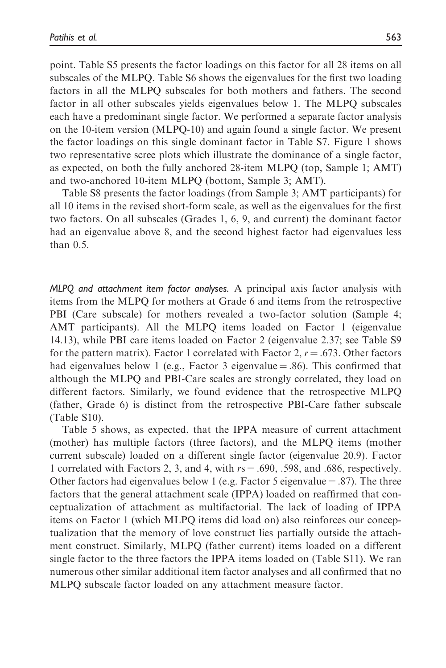point. Table S5 presents the factor loadings on this factor for all 28 items on all subscales of the MLPQ. Table S6 shows the eigenvalues for the first two loading factors in all the MLPQ subscales for both mothers and fathers. The second factor in all other subscales yields eigenvalues below 1. The MLPQ subscales each have a predominant single factor. We performed a separate factor analysis on the 10-item version (MLPQ-10) and again found a single factor. We present the factor loadings on this single dominant factor in Table S7. Figure 1 shows two representative scree plots which illustrate the dominance of a single factor, as expected, on both the fully anchored 28-item MLPQ (top, Sample 1; AMT) and two-anchored 10-item MLPQ (bottom, Sample 3; AMT).

Table S8 presents the factor loadings (from Sample 3; AMT participants) for all 10 items in the revised short-form scale, as well as the eigenvalues for the first two factors. On all subscales (Grades 1, 6, 9, and current) the dominant factor had an eigenvalue above 8, and the second highest factor had eigenvalues less than 0.5.

MLPQ and attachment item factor analyses. A principal axis factor analysis with items from the MLPQ for mothers at Grade 6 and items from the retrospective PBI (Care subscale) for mothers revealed a two-factor solution (Sample 4; AMT participants). All the MLPQ items loaded on Factor 1 (eigenvalue 14.13), while PBI care items loaded on Factor 2 (eigenvalue 2.37; see Table S9 for the pattern matrix). Factor 1 correlated with Factor 2,  $r = .673$ . Other factors had eigenvalues below 1 (e.g., Factor 3 eigenvalue  $= .86$ ). This confirmed that although the MLPQ and PBI-Care scales are strongly correlated, they load on different factors. Similarly, we found evidence that the retrospective MLPQ (father, Grade 6) is distinct from the retrospective PBI-Care father subscale (Table S10).

Table 5 shows, as expected, that the IPPA measure of current attachment (mother) has multiple factors (three factors), and the MLPQ items (mother current subscale) loaded on a different single factor (eigenvalue 20.9). Factor 1 correlated with Factors 2, 3, and 4, with  $rs = .690, .598,$  and .686, respectively. Other factors had eigenvalues below 1 (e.g. Factor 5 eigenvalue  $= .87$ ). The three factors that the general attachment scale (IPPA) loaded on reaffirmed that conceptualization of attachment as multifactorial. The lack of loading of IPPA items on Factor 1 (which MLPQ items did load on) also reinforces our conceptualization that the memory of love construct lies partially outside the attachment construct. Similarly, MLPQ (father current) items loaded on a different single factor to the three factors the IPPA items loaded on (Table S11). We ran numerous other similar additional item factor analyses and all confirmed that no MLPQ subscale factor loaded on any attachment measure factor.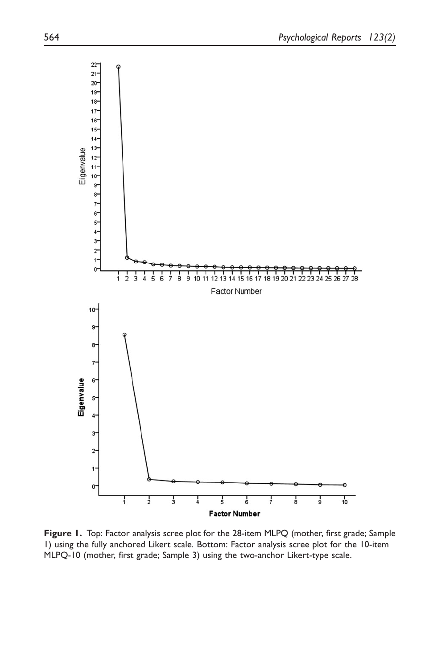

Figure 1. Top: Factor analysis scree plot for the 28-item MLPQ (mother, first grade; Sample 1) using the fully anchored Likert scale. Bottom: Factor analysis scree plot for the 10-item MLPQ-10 (mother, first grade; Sample 3) using the two-anchor Likert-type scale.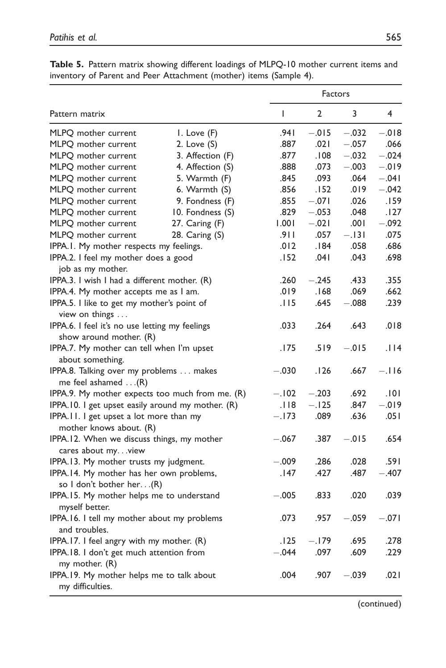|                                                                           |                  |              | Factors        |         |         |
|---------------------------------------------------------------------------|------------------|--------------|----------------|---------|---------|
| Pattern matrix                                                            |                  | $\mathsf{I}$ | $\overline{2}$ | 3       | 4       |
| MLPQ mother current                                                       | I. Love (F)      | .941         | $-.015$        | $-.032$ | $-.018$ |
| MLPQ mother current                                                       | $2.$ Love $(S)$  | .887         | .021           | $-.057$ | .066    |
| MLPO mother current                                                       | 3. Affection (F) | .877         | .108           | $-.032$ | $-.024$ |
| MLPQ mother current                                                       | 4. Affection (S) | .888         | .073           | $-.003$ | $-.019$ |
| MLPQ mother current                                                       | 5. Warmth (F)    | .845         | .093           | .064    | $-.041$ |
| MLPQ mother current                                                       | 6. Warmth (S)    | .856         | .152           | .019    | $-.042$ |
| MLPO mother current                                                       | 9. Fondness (F)  | .855         | $-.071$        | .026    | .159    |
| MLPQ mother current                                                       | 10. Fondness (S) | .829         | $-.053$        | .048    | .127    |
| MLPO mother current                                                       | 27. Caring (F)   | 1.001        | $-.021$        | 100.    | $-.092$ |
| MLPO mother current                                                       | 28. Caring (S)   | .911         | .057           | $-.131$ | .075    |
| IPPA.1. My mother respects my feelings.                                   |                  | .012         | .184           | .058    | .686    |
| IPPA.2. I feel my mother does a good<br>job as my mother.                 |                  | .152         | .041           | .043    | .698    |
| IPPA.3. I wish I had a different mother. (R)                              |                  | .260         | $-.245$        | .433    | .355    |
| IPPA.4. My mother accepts me as I am.                                     |                  | .019         | .168           | .069    | .662    |
| IPPA.5. I like to get my mother's point of                                |                  | .115         | .645           | $-.088$ | .239    |
| view on things $\dots$                                                    |                  |              |                |         |         |
| IPPA.6. I feel it's no use letting my feelings<br>show around mother. (R) |                  | .033         | .264           | .643    | .018    |
| IPPA.7. My mother can tell when I'm upset                                 |                  | .175         | .519           | $-.015$ | .114    |
| about something.                                                          |                  |              |                |         |         |
| IPPA.8. Talking over my problems  makes<br>me feel ashamed $\dots(R)$     |                  | $-.030$      | .126           | .667    | $-.116$ |
| IPPA.9. My mother expects too much from me. (R)                           |                  | $-.102$      | $-.203$        | .692    | .101    |
| IPPA.10. I get upset easily around my mother. (R)                         |                  | .118         | $-.125$        | .847    | $-.019$ |
| IPPA.11. I get upset a lot more than my<br>mother knows about. (R)        |                  | $-.173$      | .089           | .636    | .051    |
| IPPA.12. When we discuss things, my mother<br>cares about myview          |                  | $-.067$      | .387           | $-.015$ | .654    |
| IPPA.13. My mother trusts my judgment.                                    |                  | $-.009$      | .286           | .028    | .591    |
| IPPA.14. My mother has her own problems,<br>so I don't bother her(R)      |                  | .147         | .427           | .487    | $-.407$ |
| IPPA.15. My mother helps me to understand<br>myself better.               |                  | $-.005$      | .833           | .020    | .039    |
| IPPA.16. I tell my mother about my problems<br>and troubles.              |                  | .073         | .957           | $-.059$ | $-.071$ |
| IPPA.17. I feel angry with my mother. (R)                                 |                  | .125         | $-.179$        | .695    | .278    |
| IPPA.18. I don't get much attention from<br>my mother. (R)                |                  | $-.044$      | .097           | .609    | .229    |
| IPPA.19. My mother helps me to talk about<br>my difficulties.             |                  | .004         | .907           | $-.039$ | .021    |

Table 5. Pattern matrix showing different loadings of MLPQ-10 mother current items and inventory of Parent and Peer Attachment (mother) items (Sample 4).

(continued)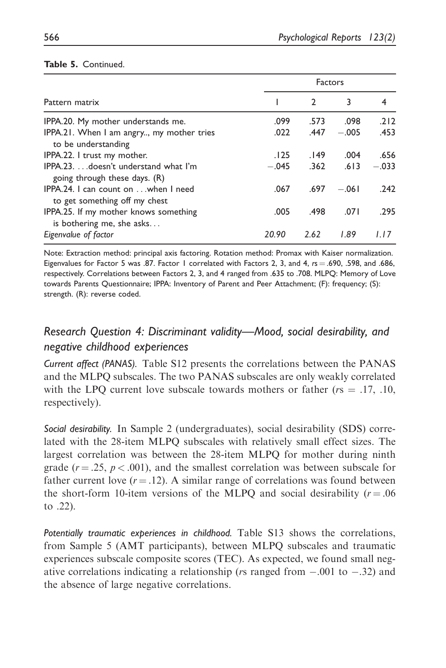|                                                                       |         | Factors |         |         |
|-----------------------------------------------------------------------|---------|---------|---------|---------|
| Pattern matrix                                                        |         | 2       | 3       |         |
| IPPA.20. My mother understands me.                                    | .099    | .573    | .098    | .212    |
| IPPA.21. When I am angry, my mother tries<br>to be understanding      | .022    | .447    | $-.005$ | .453    |
| IPPA.22. I trust my mother.                                           | .125    | .149    | .004    | .656    |
| IPPA.23. doesn't understand what I'm<br>going through these days. (R) | $-.045$ | .362    | .613    | $-.033$ |
| IPPA.24. I can count on  when I need<br>to get something off my chest | .067    | .697    | $-.061$ | .242    |
| IPPA.25. If my mother knows something<br>is bothering me, she asks    | .005    | .498    | .071    | .295    |
| Eigenvalue of factor                                                  | 20.90   | 2.62    | 1.89    | I.I 7   |

#### Table 5. Continued.

Note: Extraction method: principal axis factoring. Rotation method: Promax with Kaiser normalization. Eigenvalues for Factor 5 was .87. Factor 1 correlated with Factors 2, 3, and 4,  $rs = .690, .598,$  and .686, respectively. Correlations between Factors 2, 3, and 4 ranged from .635 to .708. MLPQ: Memory of Love towards Parents Questionnaire; IPPA: Inventory of Parent and Peer Attachment; (F): frequency; (S): strength. (R): reverse coded.

# Research Question 4: Discriminant validity—Mood, social desirability, and negative childhood experiences

Current affect (PANAS). Table S12 presents the correlations between the PANAS and the MLPQ subscales. The two PANAS subscales are only weakly correlated with the LPQ current love subscale towards mothers or father ( $rs = .17, .10,$ respectively).

Social desirability. In Sample 2 (undergraduates), social desirability (SDS) correlated with the 28-item MLPQ subscales with relatively small effect sizes. The largest correlation was between the 28-item MLPQ for mother during ninth grade ( $r = .25$ ,  $p < .001$ ), and the smallest correlation was between subscale for father current love  $(r = .12)$ . A similar range of correlations was found between the short-form 10-item versions of the MLPQ and social desirability ( $r = .06$ ) to .22).

Potentially traumatic experiences in childhood. Table S13 shows the correlations, from Sample 5 (AMT participants), between MLPQ subscales and traumatic experiences subscale composite scores (TEC). As expected, we found small negative correlations indicating a relationship (rs ranged from  $-.001$  to  $-.32$ ) and the absence of large negative correlations.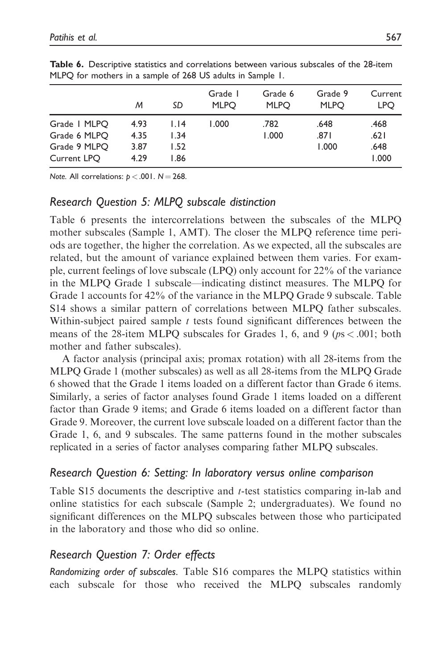|              | м    | SD   | Grade 1<br><b>MLPO</b> | Grade 6<br><b>MLPO</b> | Grade 9<br><b>MLPO</b> | Current<br><b>LPO</b> |
|--------------|------|------|------------------------|------------------------|------------------------|-----------------------|
| Grade   MLPO | 4.93 | 1.14 | 1.000                  | .782                   | .648                   | .468                  |
| Grade 6 MLPO | 4.35 | 1.34 |                        | 1.000                  | .871                   | .621                  |
| Grade 9 MLPO | 3.87 | 1.52 |                        |                        | 1.000                  | .648                  |
| Current LPO  | 4.29 | 1.86 |                        |                        |                        | 1.000                 |

Table 6. Descriptive statistics and correlations between various subscales of the 28-item MLPQ for mothers in a sample of 268 US adults in Sample 1.

Note. All correlations:  $p < .001$ .  $N = 268$ .

## Research Question 5: MLPQ subscale distinction

Table 6 presents the intercorrelations between the subscales of the MLPQ mother subscales (Sample 1, AMT). The closer the MLPQ reference time periods are together, the higher the correlation. As we expected, all the subscales are related, but the amount of variance explained between them varies. For example, current feelings of love subscale (LPQ) only account for 22% of the variance in the MLPQ Grade 1 subscale—indicating distinct measures. The MLPQ for Grade 1 accounts for 42% of the variance in the MLPQ Grade 9 subscale. Table S14 shows a similar pattern of correlations between MLPQ father subscales. Within-subject paired sample t tests found significant differences between the means of the 28-item MLPQ subscales for Grades 1, 6, and 9 ( $ps < .001$ ; both mother and father subscales).

A factor analysis (principal axis; promax rotation) with all 28-items from the MLPQ Grade 1 (mother subscales) as well as all 28-items from the MLPQ Grade 6 showed that the Grade 1 items loaded on a different factor than Grade 6 items. Similarly, a series of factor analyses found Grade 1 items loaded on a different factor than Grade 9 items; and Grade 6 items loaded on a different factor than Grade 9. Moreover, the current love subscale loaded on a different factor than the Grade 1, 6, and 9 subscales. The same patterns found in the mother subscales replicated in a series of factor analyses comparing father MLPQ subscales.

## Research Question 6: Setting: In laboratory versus online comparison

Table S15 documents the descriptive and *t*-test statistics comparing in-lab and online statistics for each subscale (Sample 2; undergraduates). We found no significant differences on the MLPQ subscales between those who participated in the laboratory and those who did so online.

## Research Question 7: Order effects

Randomizing order of subscales. Table S16 compares the MLPQ statistics within each subscale for those who received the MLPQ subscales randomly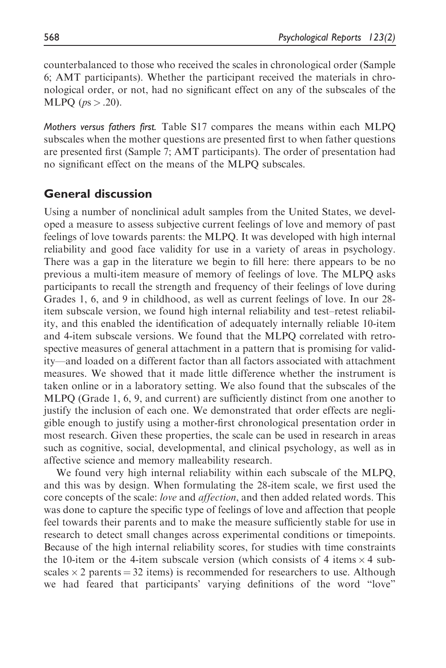counterbalanced to those who received the scales in chronological order (Sample 6; AMT participants). Whether the participant received the materials in chronological order, or not, had no significant effect on any of the subscales of the  $MLPQ (ps > .20)$ .

Mothers versus fathers first. Table S17 compares the means within each MLPQ subscales when the mother questions are presented first to when father questions are presented first (Sample 7; AMT participants). The order of presentation had no significant effect on the means of the MLPQ subscales.

# General discussion

Using a number of nonclinical adult samples from the United States, we developed a measure to assess subjective current feelings of love and memory of past feelings of love towards parents: the MLPQ. It was developed with high internal reliability and good face validity for use in a variety of areas in psychology. There was a gap in the literature we begin to fill here: there appears to be no previous a multi-item measure of memory of feelings of love. The MLPQ asks participants to recall the strength and frequency of their feelings of love during Grades 1, 6, and 9 in childhood, as well as current feelings of love. In our 28 item subscale version, we found high internal reliability and test–retest reliability, and this enabled the identification of adequately internally reliable 10-item and 4-item subscale versions. We found that the MLPQ correlated with retrospective measures of general attachment in a pattern that is promising for validity—and loaded on a different factor than all factors associated with attachment measures. We showed that it made little difference whether the instrument is taken online or in a laboratory setting. We also found that the subscales of the MLPQ (Grade 1, 6, 9, and current) are sufficiently distinct from one another to justify the inclusion of each one. We demonstrated that order effects are negligible enough to justify using a mother-first chronological presentation order in most research. Given these properties, the scale can be used in research in areas such as cognitive, social, developmental, and clinical psychology, as well as in affective science and memory malleability research.

We found very high internal reliability within each subscale of the MLPQ, and this was by design. When formulating the 28-item scale, we first used the core concepts of the scale: *love* and *affection*, and then added related words. This was done to capture the specific type of feelings of love and affection that people feel towards their parents and to make the measure sufficiently stable for use in research to detect small changes across experimental conditions or timepoints. Because of the high internal reliability scores, for studies with time constraints the 10-item or the 4-item subscale version (which consists of 4 items  $\times$  4 subscales  $\times$  2 parents = 32 items) is recommended for researchers to use. Although we had feared that participants' varying definitions of the word "love"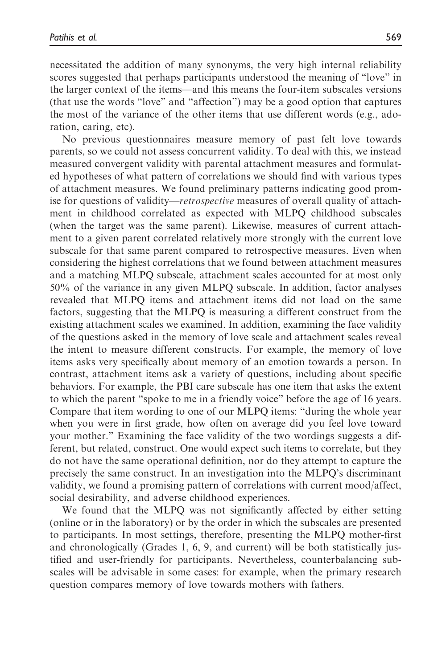necessitated the addition of many synonyms, the very high internal reliability scores suggested that perhaps participants understood the meaning of "love" in the larger context of the items—and this means the four-item subscales versions (that use the words "love" and "affection") may be a good option that captures the most of the variance of the other items that use different words (e.g., adoration, caring, etc).

No previous questionnaires measure memory of past felt love towards parents, so we could not assess concurrent validity. To deal with this, we instead measured convergent validity with parental attachment measures and formulated hypotheses of what pattern of correlations we should find with various types of attachment measures. We found preliminary patterns indicating good promise for questions of validity—*retrospective* measures of overall quality of attachment in childhood correlated as expected with MLPQ childhood subscales (when the target was the same parent). Likewise, measures of current attachment to a given parent correlated relatively more strongly with the current love subscale for that same parent compared to retrospective measures. Even when considering the highest correlations that we found between attachment measures and a matching MLPQ subscale, attachment scales accounted for at most only 50% of the variance in any given MLPQ subscale. In addition, factor analyses revealed that MLPQ items and attachment items did not load on the same factors, suggesting that the MLPQ is measuring a different construct from the existing attachment scales we examined. In addition, examining the face validity of the questions asked in the memory of love scale and attachment scales reveal the intent to measure different constructs. For example, the memory of love items asks very specifically about memory of an emotion towards a person. In contrast, attachment items ask a variety of questions, including about specific behaviors. For example, the PBI care subscale has one item that asks the extent to which the parent "spoke to me in a friendly voice" before the age of 16 years. Compare that item wording to one of our MLPQ items: "during the whole year when you were in first grade, how often on average did you feel love toward your mother." Examining the face validity of the two wordings suggests a different, but related, construct. One would expect such items to correlate, but they do not have the same operational definition, nor do they attempt to capture the precisely the same construct. In an investigation into the MLPQ's discriminant validity, we found a promising pattern of correlations with current mood/affect, social desirability, and adverse childhood experiences.

We found that the MLPQ was not significantly affected by either setting (online or in the laboratory) or by the order in which the subscales are presented to participants. In most settings, therefore, presenting the MLPQ mother-first and chronologically (Grades 1, 6, 9, and current) will be both statistically justified and user-friendly for participants. Nevertheless, counterbalancing subscales will be advisable in some cases: for example, when the primary research question compares memory of love towards mothers with fathers.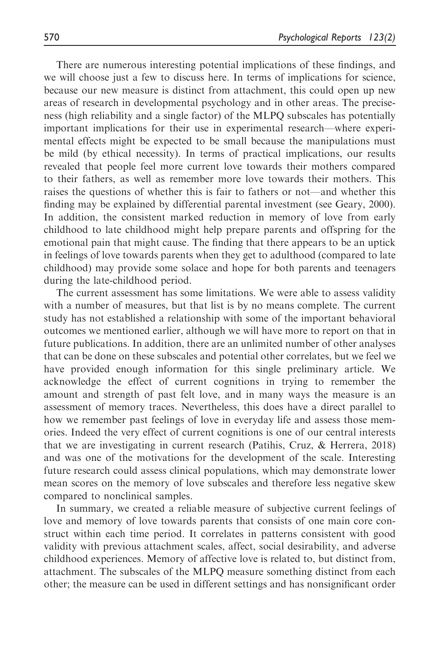There are numerous interesting potential implications of these findings, and we will choose just a few to discuss here. In terms of implications for science, because our new measure is distinct from attachment, this could open up new areas of research in developmental psychology and in other areas. The preciseness (high reliability and a single factor) of the MLPQ subscales has potentially important implications for their use in experimental research—where experimental effects might be expected to be small because the manipulations must be mild (by ethical necessity). In terms of practical implications, our results revealed that people feel more current love towards their mothers compared to their fathers, as well as remember more love towards their mothers. This raises the questions of whether this is fair to fathers or not—and whether this finding may be explained by differential parental investment (see Geary, 2000). In addition, the consistent marked reduction in memory of love from early childhood to late childhood might help prepare parents and offspring for the emotional pain that might cause. The finding that there appears to be an uptick in feelings of love towards parents when they get to adulthood (compared to late childhood) may provide some solace and hope for both parents and teenagers during the late-childhood period.

The current assessment has some limitations. We were able to assess validity with a number of measures, but that list is by no means complete. The current study has not established a relationship with some of the important behavioral outcomes we mentioned earlier, although we will have more to report on that in future publications. In addition, there are an unlimited number of other analyses that can be done on these subscales and potential other correlates, but we feel we have provided enough information for this single preliminary article. We acknowledge the effect of current cognitions in trying to remember the amount and strength of past felt love, and in many ways the measure is an assessment of memory traces. Nevertheless, this does have a direct parallel to how we remember past feelings of love in everyday life and assess those memories. Indeed the very effect of current cognitions is one of our central interests that we are investigating in current research (Patihis, Cruz, & Herrera, 2018) and was one of the motivations for the development of the scale. Interesting future research could assess clinical populations, which may demonstrate lower mean scores on the memory of love subscales and therefore less negative skew compared to nonclinical samples.

In summary, we created a reliable measure of subjective current feelings of love and memory of love towards parents that consists of one main core construct within each time period. It correlates in patterns consistent with good validity with previous attachment scales, affect, social desirability, and adverse childhood experiences. Memory of affective love is related to, but distinct from, attachment. The subscales of the MLPQ measure something distinct from each other; the measure can be used in different settings and has nonsignificant order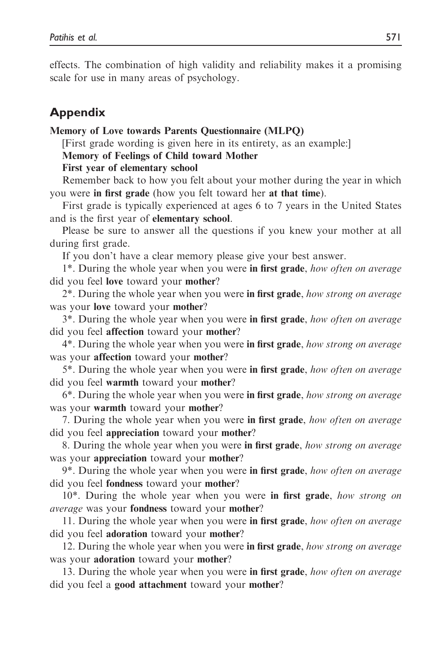effects. The combination of high validity and reliability makes it a promising scale for use in many areas of psychology.

# Appendix

Memory of Love towards Parents Questionnaire (MLPQ)

[First grade wording is given here in its entirety, as an example:]

### Memory of Feelings of Child toward Mother

### First year of elementary school

Remember back to how you felt about your mother during the year in which you were in first grade (how you felt toward her at that time).

First grade is typically experienced at ages 6 to 7 years in the United States and is the first year of elementary school.

Please be sure to answer all the questions if you knew your mother at all during first grade.

If you don't have a clear memory please give your best answer.

1<sup>\*</sup>. During the whole year when you were **in first grade**, how often on average did you feel love toward your mother?

 $2^*$ . During the whole year when you were in first grade, how strong on average was your **love** toward your **mother**?

3\*. During the whole year when you were in first grade, how often on average did you feel affection toward your mother?

4<sup>\*</sup>. During the whole year when you were **in first grade**, how strong on average was your affection toward your mother?

5\*. During the whole year when you were in first grade, how often on average did you feel warmth toward your mother?

 $6^*$ . During the whole year when you were in first grade, *how strong on average* was your warmth toward your mother?

7. During the whole year when you were **in first grade**, how often on average did you feel appreciation toward your mother?

8. During the whole year when you were in first grade, how strong on average was your appreciation toward your mother?

 $9^*$ . During the whole year when you were in first grade, how often on average did you feel fondness toward your mother?

10<sup>\*</sup>. During the whole year when you were **in first grade**, how strong on average was your fondness toward your mother?

11. During the whole year when you were in first grade, how often on average did you feel adoration toward your mother?

12. During the whole year when you were in first grade, how strong on average was your **adoration** toward your **mother?** 

13. During the whole year when you were in first grade, how often on average did you feel a good attachment toward your mother?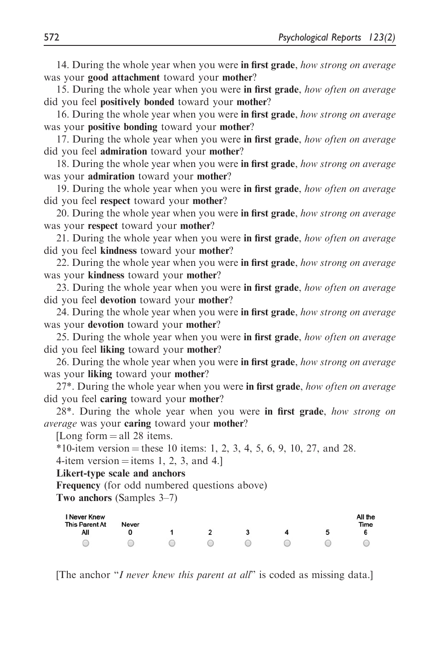14. During the whole year when you were in first grade, how strong on average was your good attachment toward your mother?

15. During the whole year when you were in first grade, how often on average did you feel positively bonded toward your mother?

16. During the whole year when you were in first grade, how strong on average was your positive bonding toward your mother?

17. During the whole year when you were in first grade, how often on average did you feel admiration toward your mother?

18. During the whole year when you were in first grade, how strong on average was your admiration toward your mother?

19. During the whole year when you were in first grade, how often on average did you feel respect toward your mother?

20. During the whole year when you were in first grade, how strong on average was your respect toward your mother?

21. During the whole year when you were in first grade, how often on average did you feel kindness toward your mother?

22. During the whole year when you were in first grade, how strong on average was your kindness toward your mother?

23. During the whole year when you were in first grade, how often on average did you feel devotion toward your mother?

24. During the whole year when you were in first grade, how strong on average was your devotion toward your mother?

25. During the whole year when you were in first grade, how often on average did you feel liking toward your mother?

26. During the whole year when you were in first grade, how strong on average was your liking toward your mother?

27<sup>\*</sup>. During the whole year when you were **in first grade**, how often on average did you feel caring toward your mother?

28\*. During the whole year when you were in first grade, how strong on average was your **caring** toward your **mother**?

[Long form  $=$  all 28 items.

 $*10$ -item version = these 10 items: 1, 2, 3, 4, 5, 6, 9, 10, 27, and 28.

4-item version  $=$ items 1, 2, 3, and 4.]

#### Likert-type scale and anchors

Frequency (for odd numbered questions above)

Two anchors (Samples 3–7)

| I Never Knew<br><b>This Parent At</b> | <b>Never</b> |  |  | All the<br>Time |
|---------------------------------------|--------------|--|--|-----------------|
| All                                   |              |  |  |                 |
|                                       |              |  |  |                 |

[The anchor "*I never knew this parent at all*" is coded as missing data.]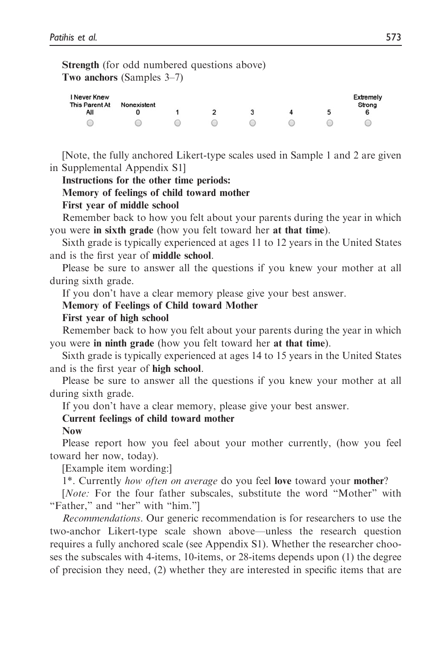Strength (for odd numbered questions above) Two anchors (Samples 3–7)

| I Never Knew<br><b>This Parent At</b> | Nonexistent |  |  | <b>Extremely</b><br>Strong |
|---------------------------------------|-------------|--|--|----------------------------|
| All                                   |             |  |  |                            |
|                                       |             |  |  |                            |

[Note, the fully anchored Likert-type scales used in Sample 1 and 2 are given in Supplemental Appendix S1]

## Instructions for the other time periods: Memory of feelings of child toward mother

#### First year of middle school

Remember back to how you felt about your parents during the year in which you were in sixth grade (how you felt toward her at that time).

Sixth grade is typically experienced at ages 11 to 12 years in the United States and is the first year of middle school.

Please be sure to answer all the questions if you knew your mother at all during sixth grade.

If you don't have a clear memory please give your best answer.

### Memory of Feelings of Child toward Mother

#### First year of high school

Remember back to how you felt about your parents during the year in which you were in ninth grade (how you felt toward her at that time).

Sixth grade is typically experienced at ages 14 to 15 years in the United States and is the first year of high school.

Please be sure to answer all the questions if you knew your mother at all during sixth grade.

If you don't have a clear memory, please give your best answer.

#### Current feelings of child toward mother

Now

Please report how you feel about your mother currently, (how you feel toward her now, today).

[Example item wording:]

1\*. Currently how often on average do you feel love toward your mother?

[Note: For the four father subscales, substitute the word "Mother" with "Father," and "her" with "him."]

Recommendations. Our generic recommendation is for researchers to use the two-anchor Likert-type scale shown above—unless the research question requires a fully anchored scale (see Appendix S1). Whether the researcher chooses the subscales with 4-items, 10-items, or 28-items depends upon (1) the degree of precision they need, (2) whether they are interested in specific items that are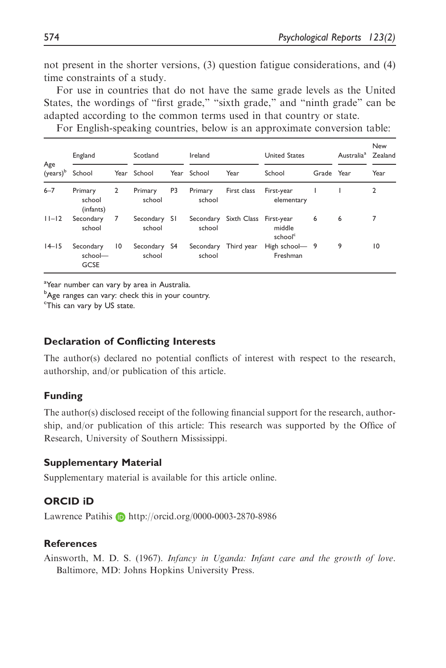not present in the shorter versions, (3) question fatigue considerations, and (4) time constraints of a study.

For use in countries that do not have the same grade levels as the United States, the wordings of "first grade," "sixth grade," and "ninth grade" can be adapted according to the common terms used in that country or state.

For English-speaking countries, below is an approximate conversion table:

|                      | England                             |                 | Scotland               |                | Ireland             |                        | <b>United States</b>          |            | Australia <sup>ª</sup> Zealand | New             |
|----------------------|-------------------------------------|-----------------|------------------------|----------------|---------------------|------------------------|-------------------------------|------------|--------------------------------|-----------------|
| Age<br>$(years)^{b}$ | School                              |                 | Year School            |                | Year School         | Year                   | School                        | Grade Year |                                | Year            |
| $6 - 7$              | Primary<br>school<br>(infants)      | 2               | Primary<br>school      | P <sub>3</sub> | Primary<br>school   | First class            | First-year<br>elementary      |            |                                | 2               |
| $ 1 - 2 $            | Secondary<br>school                 |                 | Secondary SI<br>school |                | Secondary<br>school | Sixth Class First-year | middle<br>school <sup>c</sup> | 6          | 6                              |                 |
| $14 - 15$            | Secondary<br>school-<br><b>GCSE</b> | $\overline{10}$ | Secondary S4<br>school |                | Secondary<br>school | Third year             | High school- 9<br>Freshman    |            | 9                              | $\overline{10}$ |

<sup>a</sup>Year number can vary by area in Australia.

<sup>b</sup>Age ranges can vary: check this in your country.

<sup>c</sup>This can vary by US state.

### Declaration of Conflicting Interests

The author(s) declared no potential conflicts of interest with respect to the research, authorship, and/or publication of this article.

### Funding

The author(s) disclosed receipt of the following financial support for the research, authorship, and/or publication of this article: This research was supported by the Office of Research, University of Southern Mississippi.

#### Supplementary Material

Supplementary material is available for this article online.

### ORCID iD

Lawrence Patihis  $\Box$  <http://orcid.org/0000-0003-2870-8986>

#### References

Ainsworth, M. D. S. (1967). Infancy in Uganda: Infant care and the growth of love. Baltimore, MD: Johns Hopkins University Press.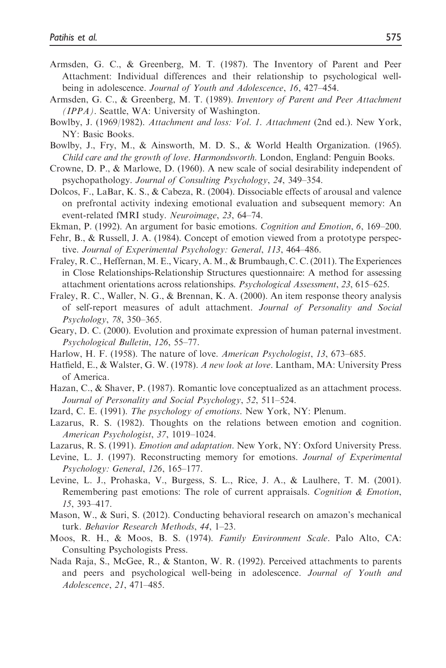- Armsden, G. C., & Greenberg, M. T. (1987). The Inventory of Parent and Peer Attachment: Individual differences and their relationship to psychological wellbeing in adolescence. Journal of Youth and Adolescence, 16, 427–454.
- Armsden, G. C., & Greenberg, M. T. (1989). Inventory of Parent and Peer Attachment (IPPA). Seattle, WA: University of Washington.
- Bowlby, J. (1969/1982). Attachment and loss: Vol. 1. Attachment (2nd ed.). New York, NY: Basic Books.
- Bowlby, J., Fry, M., & Ainsworth, M. D. S., & World Health Organization. (1965). Child care and the growth of love. Harmondsworth. London, England: Penguin Books.
- Crowne, D. P., & Marlowe, D. (1960). A new scale of social desirability independent of psychopathology. Journal of Consulting Psychology, 24, 349–354.
- Dolcos, F., LaBar, K. S., & Cabeza, R. (2004). Dissociable effects of arousal and valence on prefrontal activity indexing emotional evaluation and subsequent memory: An event-related fMRI study. Neuroimage, 23, 64–74.
- Ekman, P. (1992). An argument for basic emotions. Cognition and Emotion, 6, 169–200.
- Fehr, B., & Russell, J. A. (1984). Concept of emotion viewed from a prototype perspective. Journal of Experimental Psychology: General, 113, 464–486.
- Fraley, R. C., Heffernan, M. E., Vicary, A. M., & Brumbaugh, C. C. (2011). The Experiences in Close Relationships-Relationship Structures questionnaire: A method for assessing attachment orientations across relationships. Psychological Assessment, 23, 615–625.
- Fraley, R. C., Waller, N. G., & Brennan, K. A. (2000). An item response theory analysis of self-report measures of adult attachment. Journal of Personality and Social Psychology, 78, 350–365.
- Geary, D. C. (2000). Evolution and proximate expression of human paternal investment. Psychological Bulletin, 126, 55–77.
- Harlow, H. F. (1958). The nature of love. American Psychologist, 13, 673–685.
- Hatfield, E., & Walster, G. W. (1978). A new look at love. Lantham, MA: University Press of America.
- Hazan, C., & Shaver, P. (1987). Romantic love conceptualized as an attachment process. Journal of Personality and Social Psychology, 52, 511–524.
- Izard, C. E. (1991). The psychology of emotions. New York, NY: Plenum.
- Lazarus, R. S. (1982). Thoughts on the relations between emotion and cognition. American Psychologist, 37, 1019–1024.
- Lazarus, R. S. (1991). Emotion and adaptation. New York, NY: Oxford University Press.
- Levine, L. J. (1997). Reconstructing memory for emotions. Journal of Experimental Psychology: General, 126, 165–177.
- Levine, L. J., Prohaska, V., Burgess, S. L., Rice, J. A., & Laulhere, T. M. (2001). Remembering past emotions: The role of current appraisals. Cognition & Emotion, 15, 393–417.
- Mason, W., & Suri, S. (2012). Conducting behavioral research on amazon's mechanical turk. Behavior Research Methods, 44, 1–23.
- Moos, R. H., & Moos, B. S. (1974). Family Environment Scale. Palo Alto, CA: Consulting Psychologists Press.
- Nada Raja, S., McGee, R., & Stanton, W. R. (1992). Perceived attachments to parents and peers and psychological well-being in adolescence. Journal of Youth and Adolescence, 21, 471–485.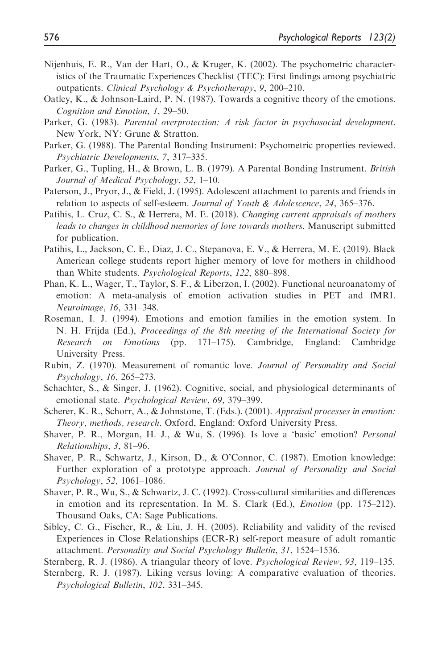- Nijenhuis, E. R., Van der Hart, O., & Kruger, K. (2002). The psychometric characteristics of the Traumatic Experiences Checklist (TEC): First findings among psychiatric outpatients. Clinical Psychology & Psychotherapy, 9, 200–210.
- Oatley, K., & Johnson-Laird, P. N. (1987). Towards a cognitive theory of the emotions. Cognition and Emotion, 1, 29–50.
- Parker, G. (1983). Parental overprotection: A risk factor in psychosocial development. New York, NY: Grune & Stratton.
- Parker, G. (1988). The Parental Bonding Instrument: Psychometric properties reviewed. Psychiatric Developments, 7, 317–335.
- Parker, G., Tupling, H., & Brown, L. B. (1979). A Parental Bonding Instrument. British Journal of Medical Psychology, 52, 1–10.
- Paterson, J., Pryor, J., & Field, J. (1995). Adolescent attachment to parents and friends in relation to aspects of self-esteem. Journal of Youth & Adolescence, 24, 365–376.
- Patihis, L. Cruz, C. S., & Herrera, M. E. (2018). Changing current appraisals of mothers leads to changes in childhood memories of love towards mothers. Manuscript submitted for publication.
- Patihis, L., Jackson, C. E., Diaz, J. C., Stepanova, E. V., & Herrera, M. E. (2019). Black American college students report higher memory of love for mothers in childhood than White students. Psychological Reports, 122, 880–898.
- Phan, K. L., Wager, T., Taylor, S. F., & Liberzon, I. (2002). Functional neuroanatomy of emotion: A meta-analysis of emotion activation studies in PET and fMRI. Neuroimage, 16, 331–348.
- Roseman, I. J. (1994). Emotions and emotion families in the emotion system. In N. H. Frijda (Ed.), Proceedings of the 8th meeting of the International Society for Research on Emotions (pp. 171–175). Cambridge, England: Cambridge University Press.
- Rubin, Z. (1970). Measurement of romantic love. Journal of Personality and Social Psychology, 16, 265–273.
- Schachter, S., & Singer, J. (1962). Cognitive, social, and physiological determinants of emotional state. *Psychological Review*, 69, 379–399.
- Scherer, K. R., Schorr, A., & Johnstone, T. (Eds.). (2001). Appraisal processes in emotion: Theory, methods, research. Oxford, England: Oxford University Press.
- Shaver, P. R., Morgan, H. J., & Wu, S. (1996). Is love a 'basic' emotion? Personal Relationships, 3, 81–96.
- Shaver, P. R., Schwartz, J., Kirson, D., & O'Connor, C. (1987). Emotion knowledge: Further exploration of a prototype approach. Journal of Personality and Social Psychology, 52, 1061–1086.
- Shaver, P. R., Wu, S., & Schwartz, J. C. (1992). Cross-cultural similarities and differences in emotion and its representation. In M. S. Clark (Ed.), *Emotion* (pp. 175–212). Thousand Oaks, CA: Sage Publications.
- Sibley, C. G., Fischer, R., & Liu, J. H. (2005). Reliability and validity of the revised Experiences in Close Relationships (ECR-R) self-report measure of adult romantic attachment. Personality and Social Psychology Bulletin, 31, 1524–1536.
- Sternberg, R. J. (1986). A triangular theory of love. *Psychological Review*, 93, 119–135.
- Sternberg, R. J. (1987). Liking versus loving: A comparative evaluation of theories. Psychological Bulletin, 102, 331–345.